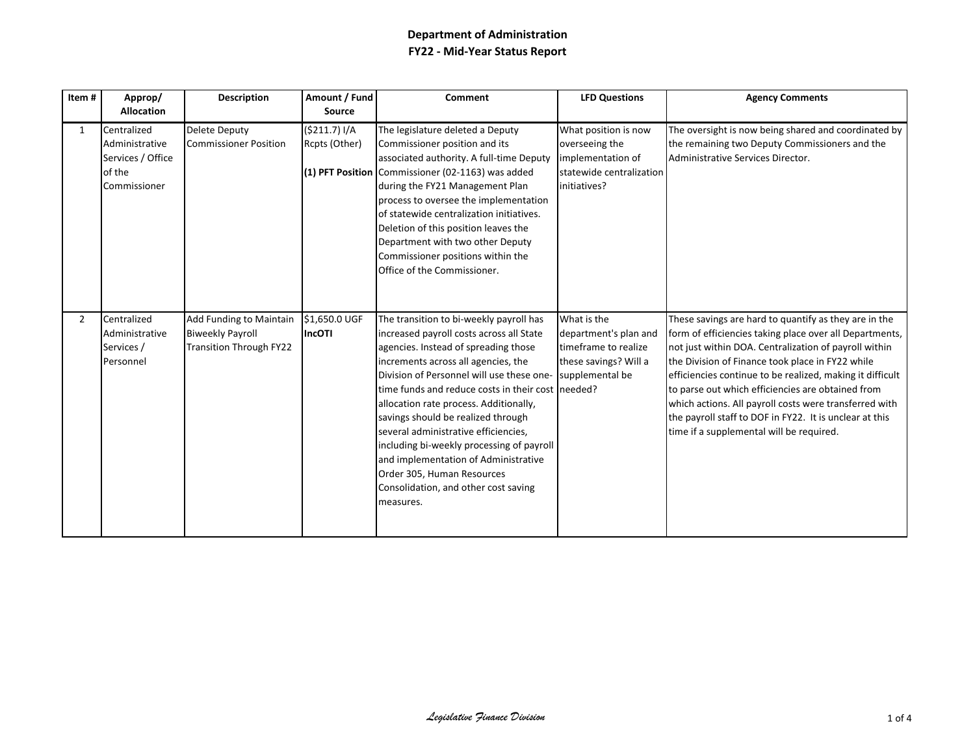| Item#          | Approp/<br><b>Allocation</b>                                                 | <b>Description</b>                                                                          | Amount / Fund<br>Source       | <b>Comment</b>                                                                                                                                                                                                                                                                                                                                                                                                                                                                                                                                                       | <b>LFD Questions</b>                                                                                     | <b>Agency Comments</b>                                                                                                                                                                                                                                                                                                                                                                                                                                                                                           |
|----------------|------------------------------------------------------------------------------|---------------------------------------------------------------------------------------------|-------------------------------|----------------------------------------------------------------------------------------------------------------------------------------------------------------------------------------------------------------------------------------------------------------------------------------------------------------------------------------------------------------------------------------------------------------------------------------------------------------------------------------------------------------------------------------------------------------------|----------------------------------------------------------------------------------------------------------|------------------------------------------------------------------------------------------------------------------------------------------------------------------------------------------------------------------------------------------------------------------------------------------------------------------------------------------------------------------------------------------------------------------------------------------------------------------------------------------------------------------|
| 1              | Centralized<br>Administrative<br>Services / Office<br>of the<br>Commissioner | <b>Delete Deputy</b><br><b>Commissioner Position</b>                                        | (5211.7) I/A<br>Rcpts (Other) | The legislature deleted a Deputy<br>Commissioner position and its<br>associated authority. A full-time Deputy<br>(1) PFT Position Commissioner (02-1163) was added<br>during the FY21 Management Plan<br>process to oversee the implementation<br>of statewide centralization initiatives.<br>Deletion of this position leaves the<br>Department with two other Deputy<br>Commissioner positions within the<br>Office of the Commissioner.                                                                                                                           | What position is now<br>overseeing the<br>implementation of<br>statewide centralization<br>initiatives?  | The oversight is now being shared and coordinated by<br>the remaining two Deputy Commissioners and the<br>Administrative Services Director.                                                                                                                                                                                                                                                                                                                                                                      |
| $\overline{2}$ | Centralized<br>Administrative<br>Services /<br>Personnel                     | <b>Add Funding to Maintain</b><br><b>Biweekly Payroll</b><br><b>Transition Through FY22</b> | \$1,650.0 UGF<br>IncOTI       | The transition to bi-weekly payroll has<br>increased payroll costs across all State<br>agencies. Instead of spreading those<br>increments across all agencies, the<br>Division of Personnel will use these one-<br>time funds and reduce costs in their cost needed?<br>allocation rate process. Additionally,<br>savings should be realized through<br>several administrative efficiencies,<br>including bi-weekly processing of payroll<br>and implementation of Administrative<br>Order 305, Human Resources<br>Consolidation, and other cost saving<br>measures. | What is the<br>department's plan and<br>timeframe to realize<br>these savings? Will a<br>supplemental be | These savings are hard to quantify as they are in the<br>form of efficiencies taking place over all Departments,<br>not just within DOA. Centralization of payroll within<br>the Division of Finance took place in FY22 while<br>efficiencies continue to be realized, making it difficult<br>to parse out which efficiencies are obtained from<br>which actions. All payroll costs were transferred with<br>the payroll staff to DOF in FY22. It is unclear at this<br>time if a supplemental will be required. |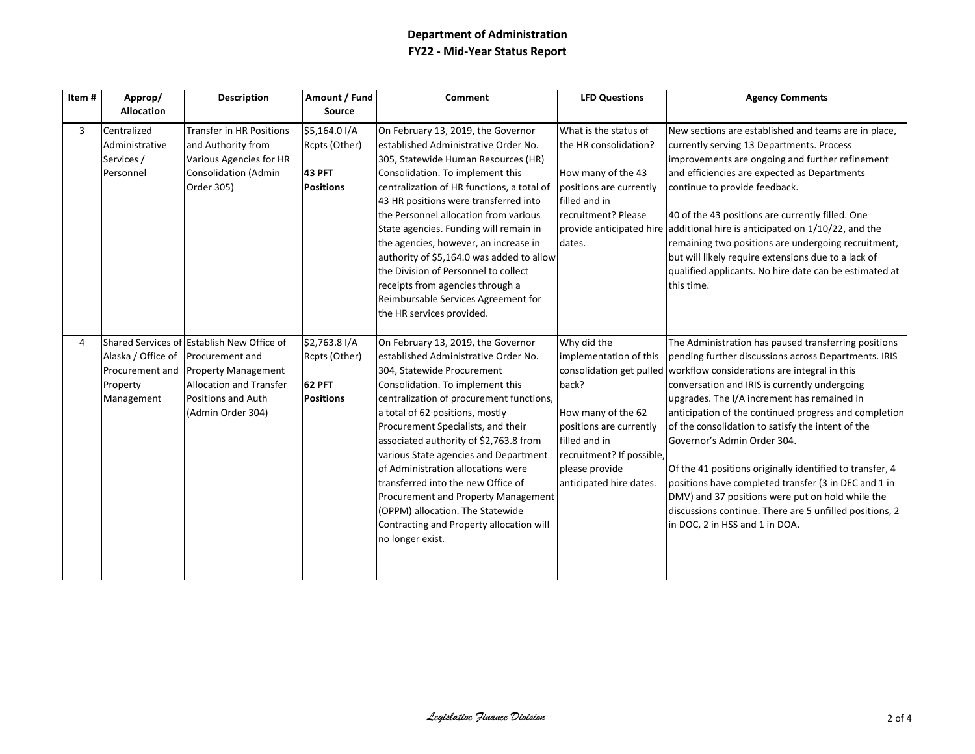| Item# | Approp/                                                         | <b>Description</b>                                                                                                                                                       | Amount / Fund                                                       | <b>Comment</b>                                                                                                                                                                                                                                                                                                                                                                                                                                                                                                                                                              | <b>LFD Questions</b>                                                                                                                                                                       | <b>Agency Comments</b>                                                                                                                                                                                                                                                                                                                                                                                                                                                                                                                                                                                                                                                                                  |
|-------|-----------------------------------------------------------------|--------------------------------------------------------------------------------------------------------------------------------------------------------------------------|---------------------------------------------------------------------|-----------------------------------------------------------------------------------------------------------------------------------------------------------------------------------------------------------------------------------------------------------------------------------------------------------------------------------------------------------------------------------------------------------------------------------------------------------------------------------------------------------------------------------------------------------------------------|--------------------------------------------------------------------------------------------------------------------------------------------------------------------------------------------|---------------------------------------------------------------------------------------------------------------------------------------------------------------------------------------------------------------------------------------------------------------------------------------------------------------------------------------------------------------------------------------------------------------------------------------------------------------------------------------------------------------------------------------------------------------------------------------------------------------------------------------------------------------------------------------------------------|
|       | <b>Allocation</b>                                               |                                                                                                                                                                          | <b>Source</b>                                                       |                                                                                                                                                                                                                                                                                                                                                                                                                                                                                                                                                                             |                                                                                                                                                                                            |                                                                                                                                                                                                                                                                                                                                                                                                                                                                                                                                                                                                                                                                                                         |
| 3     | Centralized<br>Administrative<br>Services /<br>Personnel        | <b>Transfer in HR Positions</b><br>and Authority from<br>Various Agencies for HR<br>Consolidation (Admin<br>Order 305)                                                   | \$5,164.0 I/A<br>Rcpts (Other)<br><b>43 PFT</b><br><b>Positions</b> | On February 13, 2019, the Governor<br>established Administrative Order No.<br>305, Statewide Human Resources (HR)<br>Consolidation. To implement this<br>centralization of HR functions, a total of<br>43 HR positions were transferred into<br>the Personnel allocation from various<br>State agencies. Funding will remain in<br>the agencies, however, an increase in<br>authority of \$5,164.0 was added to allow<br>the Division of Personnel to collect<br>receipts from agencies through a<br>Reimbursable Services Agreement for<br>the HR services provided.       | What is the status of<br>the HR consolidation?<br>How many of the 43<br>positions are currently<br>filled and in<br>recruitment? Please<br>dates.                                          | New sections are established and teams are in place,<br>currently serving 13 Departments. Process<br>improvements are ongoing and further refinement<br>and efficiencies are expected as Departments<br>continue to provide feedback.<br>40 of the 43 positions are currently filled. One<br>provide anticipated hire additional hire is anticipated on 1/10/22, and the<br>remaining two positions are undergoing recruitment,<br>but will likely require extensions due to a lack of<br>qualified applicants. No hire date can be estimated at<br>this time.                                                                                                                                          |
| 4     | Alaska / Office of<br>Procurement and<br>Property<br>Management | Shared Services of Establish New Office of<br>Procurement and<br><b>Property Management</b><br><b>Allocation and Transfer</b><br>Positions and Auth<br>(Admin Order 304) | \$2,763.8 I/A<br>Rcpts (Other)<br>62 PFT<br><b>Positions</b>        | On February 13, 2019, the Governor<br>established Administrative Order No.<br>304, Statewide Procurement<br>Consolidation. To implement this<br>centralization of procurement functions,<br>a total of 62 positions, mostly<br>Procurement Specialists, and their<br>associated authority of \$2,763.8 from<br>various State agencies and Department<br>of Administration allocations were<br>transferred into the new Office of<br>Procurement and Property Management<br>(OPPM) allocation. The Statewide<br>Contracting and Property allocation will<br>no longer exist. | Why did the<br>implementation of this<br>back?<br>How many of the 62<br>positions are currently<br>filled and in<br>recruitment? If possible,<br>please provide<br>anticipated hire dates. | The Administration has paused transferring positions<br>pending further discussions across Departments. IRIS<br>consolidation get pulled workflow considerations are integral in this<br>conversation and IRIS is currently undergoing<br>upgrades. The I/A increment has remained in<br>anticipation of the continued progress and completion<br>of the consolidation to satisfy the intent of the<br>Governor's Admin Order 304.<br>Of the 41 positions originally identified to transfer, 4<br>positions have completed transfer (3 in DEC and 1 in<br>DMV) and 37 positions were put on hold while the<br>discussions continue. There are 5 unfilled positions, 2<br>in DOC, 2 in HSS and 1 in DOA. |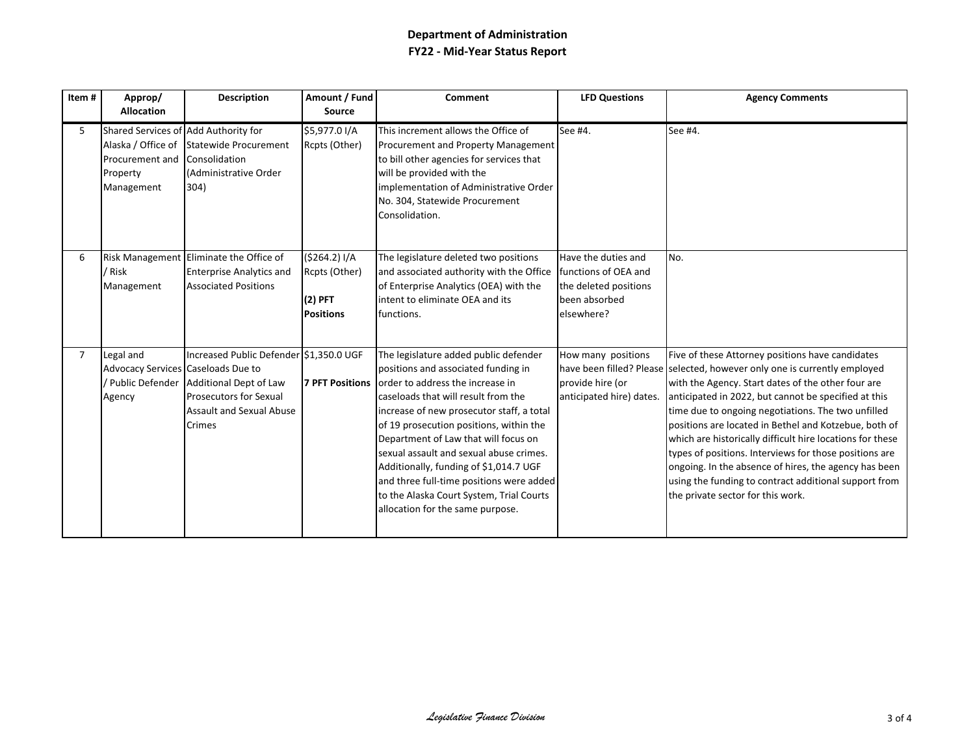| Item# | Approp/<br><b>Allocation</b>                                                                            | <b>Description</b>                                                                                                                                           | Amount / Fund<br>Source                                        | Comment                                                                                                                                                                                                                                                                                                                                                                                                                                                                                                                  | <b>LFD Questions</b>                                                                                | <b>Agency Comments</b>                                                                                                                                                                                                                                                                                                                                                                                                                                                                                                                                                                                                                   |
|-------|---------------------------------------------------------------------------------------------------------|--------------------------------------------------------------------------------------------------------------------------------------------------------------|----------------------------------------------------------------|--------------------------------------------------------------------------------------------------------------------------------------------------------------------------------------------------------------------------------------------------------------------------------------------------------------------------------------------------------------------------------------------------------------------------------------------------------------------------------------------------------------------------|-----------------------------------------------------------------------------------------------------|------------------------------------------------------------------------------------------------------------------------------------------------------------------------------------------------------------------------------------------------------------------------------------------------------------------------------------------------------------------------------------------------------------------------------------------------------------------------------------------------------------------------------------------------------------------------------------------------------------------------------------------|
| 5.    | Shared Services of Add Authority for<br>Alaska / Office of<br>Procurement and<br>Property<br>Management | Statewide Procurement<br>Consolidation<br>(Administrative Order<br>304)                                                                                      | \$5,977.0 I/A<br>Rcpts (Other)                                 | This increment allows the Office of<br>Procurement and Property Management<br>to bill other agencies for services that<br>will be provided with the<br>implementation of Administrative Order<br>No. 304, Statewide Procurement<br>Consolidation.                                                                                                                                                                                                                                                                        | See #4.                                                                                             | See #4.                                                                                                                                                                                                                                                                                                                                                                                                                                                                                                                                                                                                                                  |
| 6     | / Risk<br>Management                                                                                    | Risk Management Eliminate the Office of<br><b>Enterprise Analytics and</b><br><b>Associated Positions</b>                                                    | (5264.2) I/A<br>Rcpts (Other)<br>$(2)$ PFT<br><b>Positions</b> | The legislature deleted two positions<br>and associated authority with the Office<br>of Enterprise Analytics (OEA) with the<br>intent to eliminate OEA and its<br>functions.                                                                                                                                                                                                                                                                                                                                             | Have the duties and<br>functions of OEA and<br>the deleted positions<br>been absorbed<br>elsewhere? | No.                                                                                                                                                                                                                                                                                                                                                                                                                                                                                                                                                                                                                                      |
| 7     | Legal and<br>Advocacy Services Caseloads Due to<br>Agency                                               | Increased Public Defender \$1,350.0 UGF<br>/ Public Defender   Additional Dept of Law<br><b>Prosecutors for Sexual</b><br>Assault and Sexual Abuse<br>Crimes |                                                                | The legislature added public defender<br>positions and associated funding in<br>7 PFT Positions order to address the increase in<br>caseloads that will result from the<br>increase of new prosecutor staff, a total<br>of 19 prosecution positions, within the<br>Department of Law that will focus on<br>sexual assault and sexual abuse crimes.<br>Additionally, funding of \$1,014.7 UGF<br>and three full-time positions were added<br>to the Alaska Court System, Trial Courts<br>allocation for the same purpose. | How many positions<br>provide hire (or<br>anticipated hire) dates.                                  | Five of these Attorney positions have candidates<br>have been filled? Please selected, however only one is currently employed<br>with the Agency. Start dates of the other four are<br>anticipated in 2022, but cannot be specified at this<br>time due to ongoing negotiations. The two unfilled<br>positions are located in Bethel and Kotzebue, both of<br>which are historically difficult hire locations for these<br>types of positions. Interviews for those positions are<br>ongoing. In the absence of hires, the agency has been<br>using the funding to contract additional support from<br>the private sector for this work. |